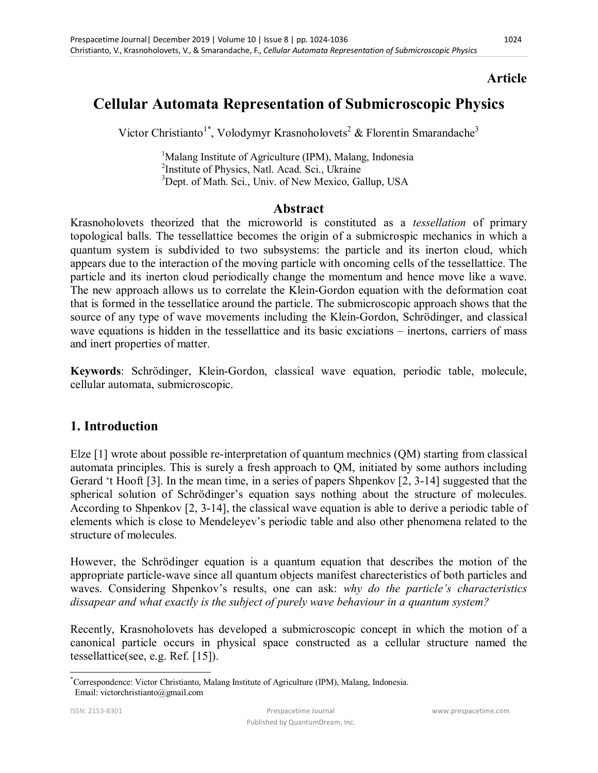## **Article**

# **Cellular Automata Representation of Submicroscopic Physics**

Victor Christianto<sup>1\*</sup>, Volodymyr Krasnoholovets<sup>2</sup> & Florentin Smarandache<sup>3</sup>

<sup>1</sup>Malang Institute of Agriculture (IPM), Malang, Indonesia <sup>2</sup>Institute of Physics, Natl. Acad. Sci., Ukraine <sup>3</sup>Dept. of Math. Sci., Univ. of New Mexico, Gallup, USA

#### **Abstract**

Krasnoholovets theorized that the microworld is constituted as a *tessellation* of primary topological balls. The tessellattice becomes the origin of a submicrospic mechanics in which a quantum system is subdivided to two subsystems: the particle and its inerton cloud, which appears due to the interaction of the moving particle with oncoming cells of the tessellattice. The particle and its inerton cloud periodically change the momentum and hence move like a wave. The new approach allows us to correlate the Klein-Gordon equation with the deformation coat that is formed in the tessellatice around the particle. The submicroscopic approach shows that the source of any type of wave movements including the Klein-Gordon, Schrödinger, and classical wave equations is hidden in the tessellattice and its basic exciations – inertons, carriers of mass and inert properties of matter.

**Keywords**: Schrödinger, Klein-Gordon, classical wave equation, periodic table, molecule, cellular automata, submicroscopic.

### **1. Introduction**

Elze [1] wrote about possible re-interpretation of quantum mechnics (QM) starting from classical automata principles. This is surely a fresh approach to QM, initiated by some authors including Gerard 't Hooft [3]. In the mean time, in a series of papers Shpenkov [2, 3-14] suggested that the spherical solution of Schrödinger's equation says nothing about the structure of molecules. According to Shpenkov [2, 3-14], the classical wave equation is able to derive a periodic table of elements which is close to Mendeleyev's periodic table and also other phenomena related to the structure of molecules.

However, the Schrödinger equation is a quantum equation that describes the motion of the appropriate particle-wave since all quantum objects manifest charecteristics of both particles and waves. Considering Shpenkov's results, one can ask: *why do the particle's characteristics dissapear and what exactly is the subject of purely wave behaviour in a quantum system?*

Recently, Krasnoholovets has developed a submicroscopic concept in which the motion of a canonical particle occurs in physical space constructed as a cellular structure named the tessellattice(see, e.g. Ref. [15]).

 $\overline{a}$ 

<sup>\*</sup>Correspondence: Victor Christianto, Malang Institute of Agriculture (IPM), Malang, Indonesia. Email: victorchristianto@gmail.com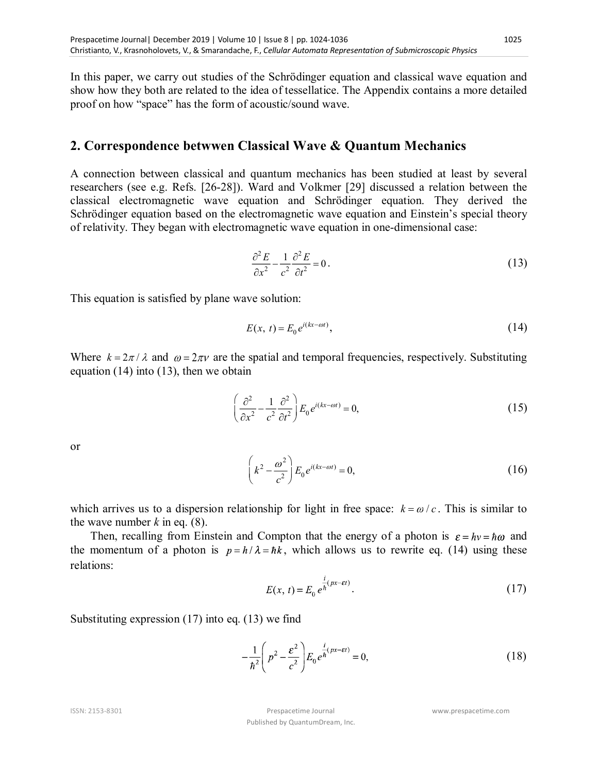In this paper, we carry out studies of the Schrödinger equation and classical wave equation and show how they both are related to the idea of tessellatice. The Appendix contains a more detailed proof on how "space" has the form of acoustic/sound wave.

### **2. Correspondence betwwen Classical Wave & Quantum Mechanics**

A connection between classical and quantum mechanics has been studied at least by several researchers (see e.g. Refs. [26-28]). Ward and Volkmer [29] discussed a relation between the classical electromagnetic wave equation and Schrödinger equation. They derived the Schrödinger equation based on the electromagnetic wave equation and Einstein's special theory of relativity. They began with electromagnetic wave equation in one-dimensional case:

$$
\frac{\partial^2 E}{\partial x^2} - \frac{1}{c^2} \frac{\partial^2 E}{\partial t^2} = 0.
$$
 (13)

This equation is satisfied by plane wave solution:

$$
E(x, t) = E_0 e^{i(kx - \omega t)}, \qquad (14)
$$

Where  $k = 2\pi / \lambda$  and  $\omega = 2\pi v$  are the spatial and temporal frequencies, respectively. Substituting equation (14) into (13), then we obtain

$$
\left(\frac{\partial^2}{\partial x^2} - \frac{1}{c^2} \frac{\partial^2}{\partial t^2}\right) E_0 e^{i(kx - \omega t)} = 0,
$$
\n(15)

or

$$
\left(k^2 - \frac{\omega^2}{c^2}\right) E_0 e^{i(kx - \omega t)} = 0,
$$
\n(16)

which arrives us to a dispersion relationship for light in free space:  $k = \omega/c$ . This is similar to the wave number  $k$  in eq.  $(8)$ .

Then, recalling from Einstein and Compton that the energy of a photon is  $\varepsilon = hv = \hbar \omega$  and the momentum of a photon is  $p = h/\lambda = \hbar k$ , which allows us to rewrite eq. (14) using these relations:

$$
E(x, t) = E_0 e^{\frac{i}{\hbar}(px - \varepsilon t)}.
$$
 (17)

Substituting expression (17) into eq. (13) we find

$$
-\frac{1}{\hbar^2}\left(p^2 - \frac{\varepsilon^2}{c^2}\right)E_0 e^{\frac{i}{\hbar}(px - \varepsilon t)} = 0,
$$
\n(18)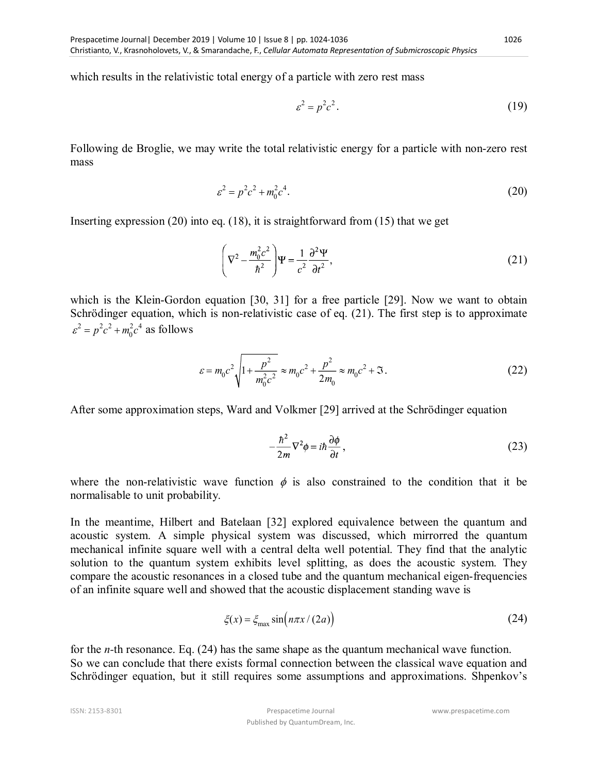which results in the relativistic total energy of a particle with zero rest mass

$$
\varepsilon^2 = p^2 c^2. \tag{19}
$$

Following de Broglie, we may write the total relativistic energy for a particle with non-zero rest mass

$$
\varepsilon^2 = p^2 c^2 + m_0^2 c^4. \tag{20}
$$

Inserting expression (20) into eq. (18), it is straightforward from (15) that we get

$$
\left(\nabla^2 - \frac{m_0^2 c^2}{\hbar^2}\right)\Psi = \frac{1}{c^2} \frac{\partial^2 \Psi}{\partial t^2},
$$
\n(21)

which is the Klein-Gordon equation [30, 31] for a free particle [29]. Now we want to obtain Schrödinger equation, which is non-relativistic case of eq. (21). The first step is to approximate  $\varepsilon^2 = p^2c^2 + m_0^2c^4$  as follows

$$
\varepsilon = m_0 c^2 \sqrt{1 + \frac{p^2}{m_0^2 c^2}} \approx m_0 c^2 + \frac{p^2}{2m_0} \approx m_0 c^2 + \Im. \tag{22}
$$

After some approximation steps, Ward and Volkmer [29] arrived at the Schrödinger equation

$$
-\frac{\hbar^2}{2m}\nabla^2\phi = i\hbar\frac{\partial\phi}{\partial t},\qquad(23)
$$

where the non-relativistic wave function  $\phi$  is also constrained to the condition that it be normalisable to unit probability.

In the meantime, Hilbert and Batelaan [32] explored equivalence between the quantum and acoustic system. A simple physical system was discussed, which mirrorred the quantum mechanical infinite square well with a central delta well potential. They find that the analytic solution to the quantum system exhibits level splitting, as does the acoustic system. They compare the acoustic resonances in a closed tube and the quantum mechanical eigen-frequencies of an infinite square well and showed that the acoustic displacement standing wave is

$$
\xi(x) = \xi_{\text{max}} \sin(n\pi x / (2a))
$$
\n(24)

for the *n-*th resonance. Eq. (24) has the same shape as the quantum mechanical wave function. So we can conclude that there exists formal connection between the classical wave equation and Schrödinger equation, but it still requires some assumptions and approximations. Shpenkov's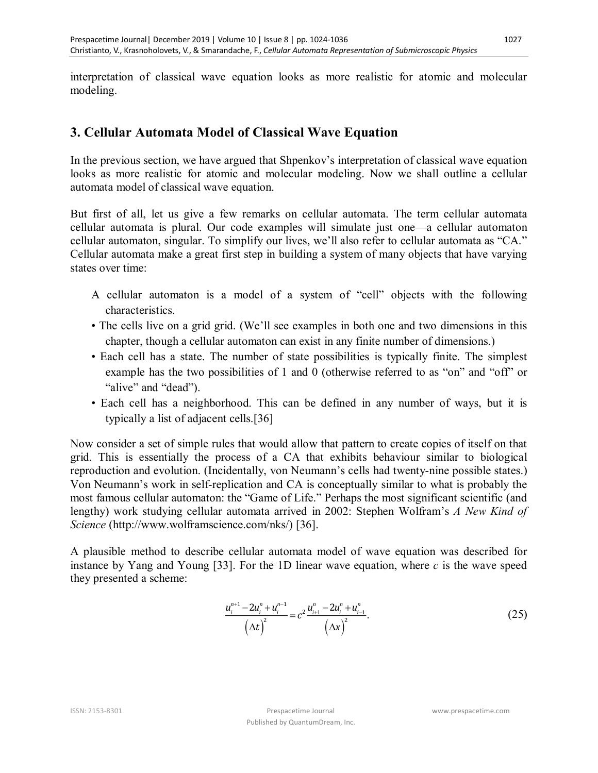interpretation of classical wave equation looks as more realistic for atomic and molecular modeling.

### **3. Cellular Automata Model of Classical Wave Equation**

In the previous section, we have argued that Shpenkov's interpretation of classical wave equation looks as more realistic for atomic and molecular modeling. Now we shall outline a cellular automata model of classical wave equation.

But first of all, let us give a few remarks on cellular automata. The term cellular automata cellular automata is plural. Our code examples will simulate just one—a cellular automaton cellular automaton, singular. To simplify our lives, we'll also refer to cellular automata as "CA." Cellular automata make a great first step in building a system of many objects that have varying states over time:

- A cellular automaton is a model of a system of "cell" objects with the following characteristics.
- The cells live on a grid grid. (We'll see examples in both one and two dimensions in this chapter, though a cellular automaton can exist in any finite number of dimensions.)
- Each cell has a state. The number of state possibilities is typically finite. The simplest example has the two possibilities of 1 and 0 (otherwise referred to as "on" and "off" or "alive" and "dead").
- Each cell has a neighborhood. This can be defined in any number of ways, but it is typically a list of adjacent cells.[36]

Now consider a set of simple rules that would allow that pattern to create copies of itself on that grid. This is essentially the process of a CA that exhibits behaviour similar to biological reproduction and evolution. (Incidentally, von Neumann's cells had twenty-nine possible states.) Von Neumann's work in self-replication and CA is conceptually similar to what is probably the most famous cellular automaton: the "Game of Life." Perhaps the most significant scientific (and lengthy) work studying cellular automata arrived in 2002: Stephen Wolfram's *A New Kind of Science* (http://www.wolframscience.com/nks/) [36].

A plausible method to describe cellular automata model of wave equation was described for instance by Yang and Young [33]. For the 1D linear wave equation, where *c* is the wave speed they presented a scheme:

$$
\frac{u_i^{n+1} - 2u_i^n + u_i^{n-1}}{\left(\Delta t\right)^2} = c^2 \frac{u_{i+1}^n - 2u_i^n + u_{i-1}^n}{\left(\Delta x\right)^2}.
$$
\n(25)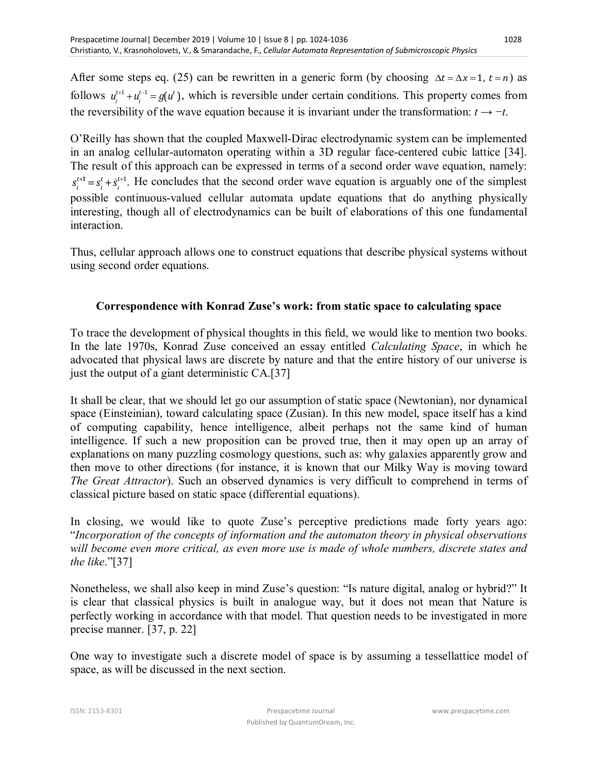After some steps eq. (25) can be rewritten in a generic form (by choosing  $\Delta t = \Delta x = 1$ ,  $t = n$ ) as follows  $u_i^{t+1} + u_i^{t-1} = g(u^t)$ , which is reversible under certain conditions. This property comes from the reversibility of the wave equation because it is invariant under the transformation:  $t \rightarrow -t$ .

O'Reilly has shown that the coupled Maxwell-Dirac electrodynamic system can be implemented in an analog cellular-automaton operating within a 3D regular face-centered cubic lattice [34]. The result of this approach can be expressed in terms of a second order wave equation, namely:  $s_i^{t+1} = s_i^t + \dot{s}_i^{t+1}$ . He concludes that the second order wave equation is arguably one of the simplest possible continuous-valued cellular automata update equations that do anything physically interesting, though all of electrodynamics can be built of elaborations of this one fundamental interaction.

Thus, cellular approach allows one to construct equations that describe physical systems without using second order equations.

#### **Correspondence with Konrad Zuse's work: from static space to calculating space**

To trace the development of physical thoughts in this field, we would like to mention two books. In the late 1970s, Konrad Zuse conceived an essay entitled *Calculating Space*, in which he advocated that physical laws are discrete by nature and that the entire history of our universe is just the output of a giant deterministic CA.[37]

It shall be clear, that we should let go our assumption of static space (Newtonian), nor dynamical space (Einsteinian), toward calculating space (Zusian). In this new model, space itself has a kind of computing capability, hence intelligence, albeit perhaps not the same kind of human intelligence. If such a new proposition can be proved true, then it may open up an array of explanations on many puzzling cosmology questions, such as: why galaxies apparently grow and then move to other directions (for instance, it is known that our Milky Way is moving toward *The Great Attractor*). Such an observed dynamics is very difficult to comprehend in terms of classical picture based on static space (differential equations).

In closing, we would like to quote Zuse's perceptive predictions made forty years ago: "*Incorporation of the concepts of information and the automaton theory in physical observations will become even more critical, as even more use is made of whole numbers, discrete states and the like*."[37]

Nonetheless, we shall also keep in mind Zuse's question: "Is nature digital, analog or hybrid?" It is clear that classical physics is built in analogue way, but it does not mean that Nature is perfectly working in accordance with that model. That question needs to be investigated in more precise manner. [37, p. 22]

One way to investigate such a discrete model of space is by assuming a tessellattice model of space, as will be discussed in the next section.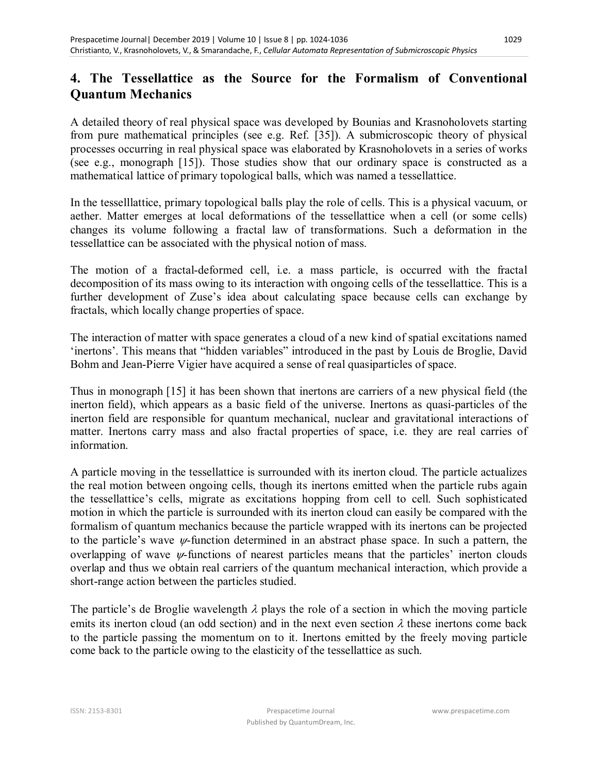### **4. The Tessellattice as the Source for the Formalism of Conventional Quantum Mechanics**

A detailed theory of real physical space was developed by Bounias and Krasnoholovets starting from pure mathematical principles (see e.g. Ref. [35]). A submicroscopic theory of physical processes occurring in real physical space was elaborated by Krasnoholovets in a series of works (see e.g., monograph [15]). Those studies show that our ordinary space is constructed as a mathematical lattice of primary topological balls, which was named a tessellattice.

In the tesselllattice, primary topological balls play the role of cells. This is a physical vacuum, or aether. Matter emerges at local deformations of the tessellattice when a cell (or some cells) changes its volume following a fractal law of transformations. Such a deformation in the tessellattice can be associated with the physical notion of mass.

The motion of a fractal-deformed cell, i.e. a mass particle, is occurred with the fractal decomposition of its mass owing to its interaction with ongoing cells of the tessellattice. This is a further development of Zuse's idea about calculating space because cells can exchange by fractals, which locally change properties of space.

The interaction of matter with space generates a cloud of a new kind of spatial excitations named 'inertons'. This means that "hidden variables" introduced in the past by Louis de Broglie, David Bohm and Jean-Pierre Vigier have acquired a sense of real quasiparticles of space.

Thus in monograph [15] it has been shown that inertons are carriers of a new physical field (the inerton field), which appears as a basic field of the universe. Inertons as quasi-particles of the inerton field are responsible for quantum mechanical, nuclear and gravitational interactions of matter. Inertons carry mass and also fractal properties of space, i.e. they are real carries of information.

A particle moving in the tessellattice is surrounded with its inerton cloud. The particle actualizes the real motion between ongoing cells, though its inertons emitted when the particle rubs again the tessellattice's cells, migrate as excitations hopping from cell to cell. Such sophisticated motion in which the particle is surrounded with its inerton cloud can easily be compared with the formalism of quantum mechanics because the particle wrapped with its inertons can be projected to the particle's wave  $\psi$ -function determined in an abstract phase space. In such a pattern, the overlapping of wave  $\psi$ -functions of nearest particles means that the particles' inerton clouds overlap and thus we obtain real carriers of the quantum mechanical interaction, which provide a short-range action between the particles studied.

The particle's de Broglie wavelength  $\lambda$  plays the role of a section in which the moving particle emits its inerton cloud (an odd section) and in the next even section  $\lambda$  these inertons come back to the particle passing the momentum on to it. Inertons emitted by the freely moving particle come back to the particle owing to the elasticity of the tessellattice as such.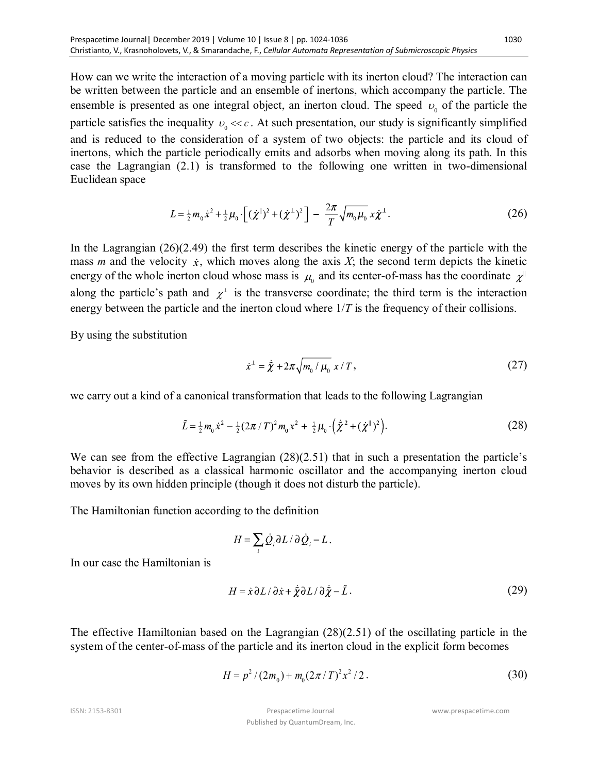How can we write the interaction of a moving particle with its inerton cloud? The interaction can be written between the particle and an ensemble of inertons, which accompany the particle. The ensemble is presented as one integral object, an inerton cloud. The speed  $v_0$  of the particle the particle satisfies the inequality  $v_0 \ll c$ . At such presentation, our study is significantly simplified and is reduced to the consideration of a system of two objects: the particle and its cloud of inertons, which the particle periodically emits and adsorbs when moving along its path. In this case the Lagrangian (2.1) is transformed to the following one written in two-dimensional Euclidean space

$$
L = \frac{1}{2}m_0\dot{x}^2 + \frac{1}{2}\mu_0 \cdot \left[ (\dot{\chi}^{\parallel})^2 + (\dot{\chi}^{\perp})^2 \right] - \frac{2\pi}{T} \sqrt{m_0\mu_0} x \dot{\chi}^{\perp}.
$$
 (26)

In the Lagrangian  $(26)(2.49)$  the first term describes the kinetic energy of the particle with the mass *m* and the velocity  $\dot{x}$ , which moves along the axis *X*; the second term depicts the kinetic energy of the whole inerton cloud whose mass is  $\mu_{\scriptscriptstyle 0}$  and its center-of-mass has the coordinate  $\,\chi^{\scriptscriptstyle\parallel}$ along the particle's path and  $\chi^{\perp}$  is the transverse coordinate; the third term is the interaction energy between the particle and the inerton cloud where  $1/T$  is the frequency of their collisions.

By using the substitution

$$
\dot{x}^{\perp} = \dot{\tilde{\chi}} + 2\pi \sqrt{m_0 / \mu_0} \; x / T \,, \tag{27}
$$

we carry out a kind of a canonical transformation that leads to the following Lagrangian

$$
\tilde{L} = \frac{1}{2} m_0 \dot{x}^2 - \frac{1}{2} (2\pi / T)^2 m_0 x^2 + \frac{1}{2} \mu_0 \cdot (\dot{\tilde{\chi}}^2 + (\dot{\chi}^{\parallel})^2).
$$
 (28)

We can see from the effective Lagrangian  $(28)(2.51)$  that in such a presentation the particle's behavior is described as a classical harmonic oscillator and the accompanying inerton cloud moves by its own hidden principle (though it does not disturb the particle).

The Hamiltonian function according to the definition

$$
H = \sum_i \dot{Q}_i \partial L / \partial \dot{Q}_i - L \, .
$$

In our case the Hamiltonian is

$$
H = \dot{x}\,\partial L/\,\partial \dot{x} + \dot{\tilde{\chi}}\partial L/\,\partial \dot{\tilde{\chi}} - \tilde{L} \,. \tag{29}
$$

The effective Hamiltonian based on the Lagrangian (28)(2.51) of the oscillating particle in the system of the center-of-mass of the particle and its inerton cloud in the explicit form becomes

$$
H = p2 / (2m0) + m0 (2\pi / T)2 x2 / 2.
$$
 (30)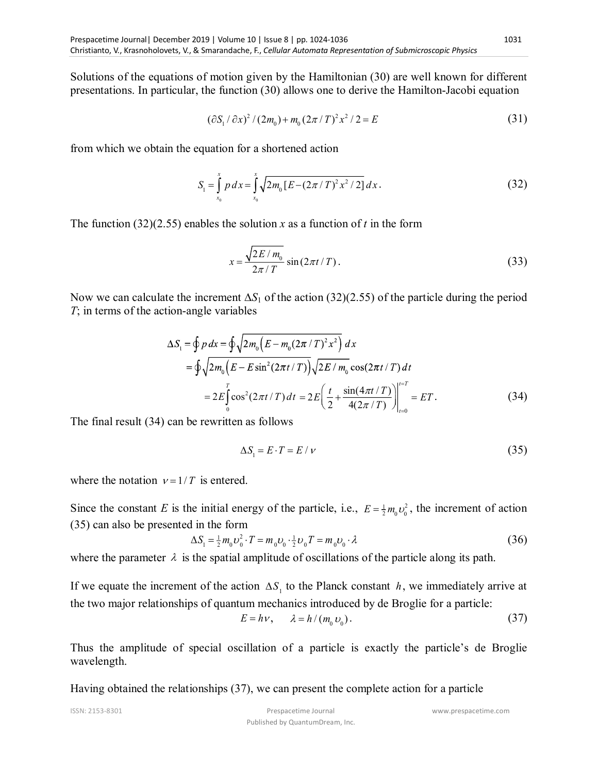Solutions of the equations of motion given by the Hamiltonian (30) are well known for different presentations. In particular, the function (30) allows one to derive the Hamilton-Jacobi equation

$$
(\partial S_1 / \partial x)^2 / (2m_0) + m_0 (2\pi / T)^2 x^2 / 2 = E
$$
\n(31)

from which we obtain the equation for a shortened action

$$
S_1 = \int_{x_0}^{x} p \, dx = \int_{x_0}^{x} \sqrt{2m_0 \left[ E - \left( 2\pi / T \right)^2 x^2 / 2 \right]} \, dx \,. \tag{32}
$$

The function (32)(2.55) enables the solution *x* as a function of *t* in the form

$$
x = \frac{\sqrt{2E/m_0}}{2\pi/T} \sin(2\pi t/T). \tag{33}
$$

Now we can calculate the increment  $\Delta S_1$  of the action (32)(2.55) of the particle during the period *T*; in terms of the action-angle variables

$$
\Delta S_{1} = \oint p dx = \oint \sqrt{2m_{0} \left( E - m_{0} (2\pi/T)^{2} x^{2} \right)} dx
$$
  
= 
$$
\oint \sqrt{2m_{0} \left( E - E \sin^{2} (2\pi t/T) \right)} \sqrt{2E/m_{0}} \cos(2\pi t/T) dt
$$
  
= 
$$
2E \int_{0}^{T} \cos^{2} (2\pi t/T) dt = 2E \left( \frac{t}{2} + \frac{\sin(4\pi t/T)}{4(2\pi/T)} \right) \Big|_{t=0}^{t=T} = ET.
$$
 (34)

The final result (34) can be rewritten as follows

$$
\Delta S_1 = E \cdot T = E / \nu \tag{35}
$$

where the notation  $v = 1/T$  is entered.

Since the constant *E* is the initial energy of the particle, i.e.,  $E = \frac{1}{2} m_0 v_0^2$ , the increment of action (35) can also be presented in the form

$$
\Delta S_1 = \frac{1}{2} m_0 v_0^2 \cdot T = m_0 v_0 \cdot \frac{1}{2} v_0 T = m_0 v_0 \cdot \lambda \tag{36}
$$

where the parameter  $\lambda$  is the spatial amplitude of oscillations of the particle along its path.

If we equate the increment of the action  $\Delta S$ <sup>1</sup> to the Planck constant h, we immediately arrive at the two major relationships of quantum mechanics introduced by de Broglie for a particle:

$$
E = h\nu, \qquad \lambda = h/(m_0 \nu_0). \tag{37}
$$

Thus the amplitude of special oscillation of a particle is exactly the particle's de Broglie wavelength.

Having obtained the relationships (37), we can present the complete action for a particle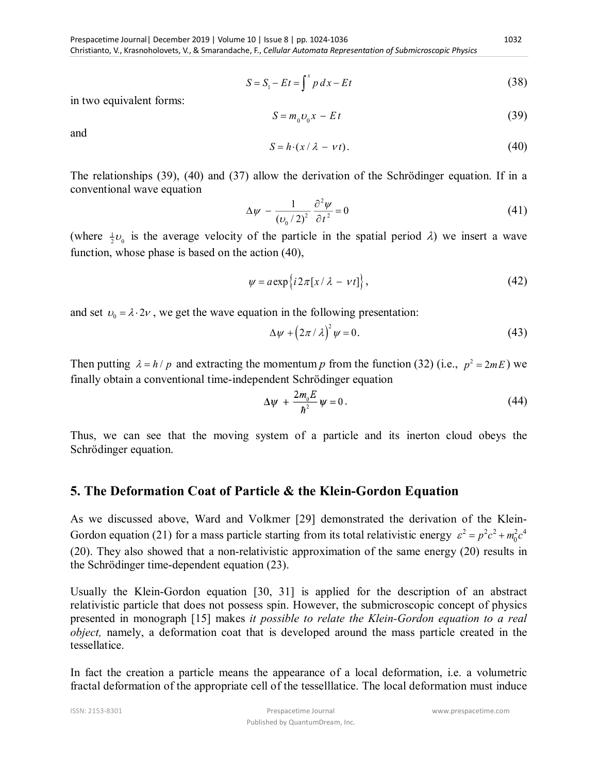1032

$$
S = S_1 - Et = \int^x p \, dx - Et \tag{38}
$$

in two equivalent forms:

$$
S = m_0 v_0 x - E t \tag{39}
$$

and

$$
S = h \cdot (x / \lambda - \nu t). \tag{40}
$$

The relationships (39), (40) and (37) allow the derivation of the Schrödinger equation. If in a conventional wave equation

$$
\Delta \psi - \frac{1}{(\nu_0 / 2)^2} \frac{\partial^2 \psi}{\partial t^2} = 0 \tag{41}
$$

(where  $\frac{1}{2}v_0$  is the average velocity of the particle in the spatial period  $\lambda$ ) we insert a wave function, whose phase is based on the action (40),

$$
\psi = a \exp \{ i 2\pi [x/\lambda - vt] \},\tag{42}
$$

and set  $v_0 = \lambda \cdot 2v$ , we get the wave equation in the following presentation:

$$
\Delta \psi + \left(2\pi/\lambda\right)^2 \psi = 0. \tag{43}
$$

Then putting  $\lambda = h / p$  and extracting the momentum p from the function (32) (i.e.,  $p^2 = 2mE$ ) we finally obtain a conventional time-independent Schrödinger equation

$$
\Delta \psi + \frac{2m_0 E}{\hbar^2} \psi = 0. \tag{44}
$$

Thus, we can see that the moving system of a particle and its inerton cloud obeys the Schrödinger equation.

#### **5. The Deformation Coat of Particle & the Klein-Gordon Equation**

As we discussed above, Ward and Volkmer [29] demonstrated the derivation of the Klein-Gordon equation (21) for a mass particle starting from its total relativistic energy  $\varepsilon^2 = p^2c^2 + m_0^2c^4$ (20). They also showed that a non-relativistic approximation of the same energy (20) results in the Schrödinger time-dependent equation (23).

Usually the Klein-Gordon equation [30, 31] is applied for the description of an abstract relativistic particle that does not possess spin. However, the submicroscopic concept of physics presented in monograph [15] makes *it possible to relate the Klein-Gordon equation to a real object,* namely, a deformation coat that is developed around the mass particle created in the tessellatice.

In fact the creation a particle means the appearance of a local deformation, i.e. a volumetric fractal deformation of the appropriate cell of the tesselllatice. The local deformation must induce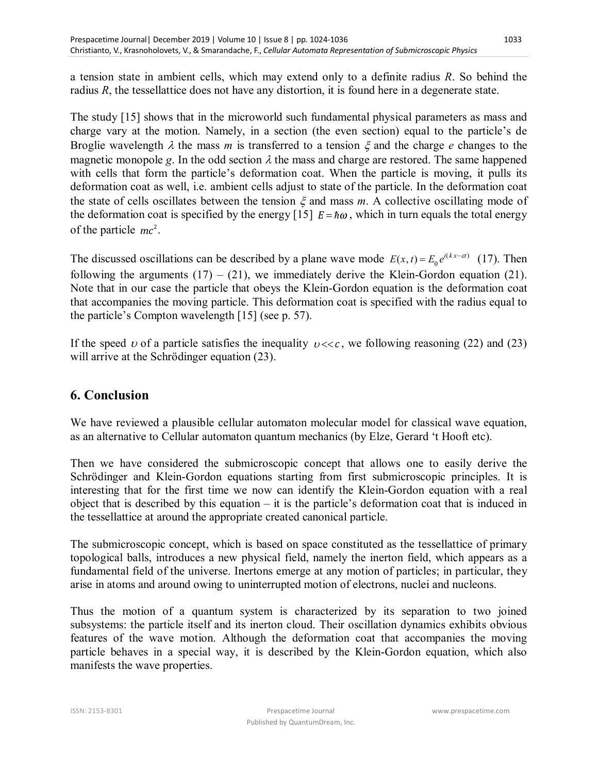a tension state in ambient cells, which may extend only to a definite radius *R*. So behind the radius *R*, the tessellattice does not have any distortion, it is found here in a degenerate state.

The study [15] shows that in the microworld such fundamental physical parameters as mass and charge vary at the motion. Namely, in a section (the even section) equal to the particle's de Broglie wavelength  $\lambda$  the mass *m* is transferred to a tension  $\xi$  and the charge *e* changes to the magnetic monopole *g*. In the odd section  $\lambda$  the mass and charge are restored. The same happened with cells that form the particle's deformation coat. When the particle is moving, it pulls its deformation coat as well, i.e. ambient cells adjust to state of the particle. In the deformation coat the state of cells oscillates between the tension  $\xi$  and mass  $m$ . A collective oscillating mode of the deformation coat is specified by the energy [15]  $E = \hbar \omega$ , which in turn equals the total energy of the particle  $mc^2$ .

The discussed oscillations can be described by a plane wave mode  $E(x, t) = E_0 e^{i(kx - \varepsilon t)}$  (17). Then following the arguments  $(17) - (21)$ , we immediately derive the Klein-Gordon equation  $(21)$ . Note that in our case the particle that obeys the Klein-Gordon equation is the deformation coat that accompanies the moving particle. This deformation coat is specified with the radius equal to the particle's Compton wavelength [15] (see p. 57).

If the speed v of a particle satisfies the inequality  $v \ll c$ , we following reasoning (22) and (23) will arrive at the Schrödinger equation (23).

### **6. Conclusion**

We have reviewed a plausible cellular automaton molecular model for classical wave equation, as an alternative to Cellular automaton quantum mechanics (by Elze, Gerard 't Hooft etc).

Then we have considered the submicroscopic concept that allows one to easily derive the Schrödinger and Klein-Gordon equations starting from first submicroscopic principles. It is interesting that for the first time we now can identify the Klein-Gordon equation with a real object that is described by this equation – it is the particle's deformation coat that is induced in the tessellattice at around the appropriate created canonical particle.

The submicroscopic concept, which is based on space constituted as the tessellattice of primary topological balls, introduces a new physical field, namely the inerton field, which appears as a fundamental field of the universe. Inertons emerge at any motion of particles; in particular, they arise in atoms and around owing to uninterrupted motion of electrons, nuclei and nucleons.

Thus the motion of a quantum system is characterized by its separation to two joined subsystems: the particle itself and its inerton cloud. Their oscillation dynamics exhibits obvious features of the wave motion. Although the deformation coat that accompanies the moving particle behaves in a special way, it is described by the Klein-Gordon equation, which also manifests the wave properties.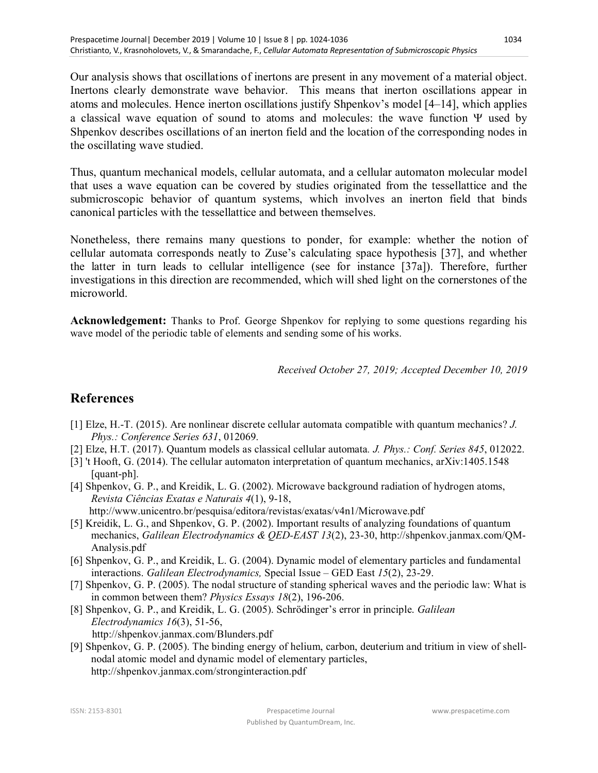Our analysis shows that oscillations of inertons are present in any movement of a material object. Inertons clearly demonstrate wave behavior. This means that inerton oscillations appear in atoms and molecules. Hence inerton oscillations justify Shpenkov's model [4–14], which applies a classical wave equation of sound to atoms and molecules: the wave function  $\Psi$  used by Shpenkov describes oscillations of an inerton field and the location of the corresponding nodes in the oscillating wave studied.

Thus, quantum mechanical models, cellular automata, and a cellular automaton molecular model that uses a wave equation can be covered by studies originated from the tessellattice and the submicroscopic behavior of quantum systems, which involves an inerton field that binds canonical particles with the tessellattice and between themselves.

Nonetheless, there remains many questions to ponder, for example: whether the notion of cellular automata corresponds neatly to Zuse's calculating space hypothesis [37], and whether the latter in turn leads to cellular intelligence (see for instance [37a]). Therefore, further investigations in this direction are recommended, which will shed light on the cornerstones of the microworld.

**Acknowledgement:** Thanks to Prof. George Shpenkov for replying to some questions regarding his wave model of the periodic table of elements and sending some of his works.

*Received October 27, 2019; Accepted December 10, 2019*

### **References**

- [1] Elze, H.-T. (2015). Are nonlinear discrete cellular automata compatible with quantum mechanics? *J. Phys.: Conference Series 631*, 012069.
- [2] Elze, H.T. (2017). Quantum models as classical cellular automata*. J. Phys.: Conf. Series 845*, 012022.
- [3] 't Hooft, G. (2014). The cellular automaton interpretation of quantum mechanics, arXiv:1405.1548 [quant-ph].
- [4] Shpenkov, G. P., and Kreidik, L. G. (2002). Microwave background radiation of hydrogen atoms, *Revista Ciências Exatas e Naturais 4*(1), 9-18, http://www.unicentro.br/pesquisa/editora/revistas/exatas/v4n1/Microwave.pdf
- [5] Kreidik, L. G., and Shpenkov, G. P. (2002). Important results of analyzing foundations of quantum mechanics, *Galilean Electrodynamics & QED-EAST 13*(2), 23-30, http://shpenkov.janmax.com/QM-Analysis.pdf
- [6] Shpenkov, G. P., and Kreidik, L. G. (2004). Dynamic model of elementary particles and fundamental interactions. *Galilean Electrodynamics,* Special Issue – GED East *15*(2), 23-29.
- [7] Shpenkov, G. P. (2005). The nodal structure of standing spherical waves and the periodic law: What is in common between them? *Physics Essays 18*(2), 196-206.
- [8] Shpenkov, G. P., and Kreidik, L. G. (2005). Schrödinger's error in principle. *Galilean Electrodynamics 16*(3), 51-56, http://shpenkov.janmax.com/Blunders.pdf
- [9] Shpenkov, G. P. (2005). The binding energy of helium, carbon, deuterium and tritium in view of shellnodal atomic model and dynamic model of elementary particles, http://shpenkov.janmax.com/stronginteraction.pdf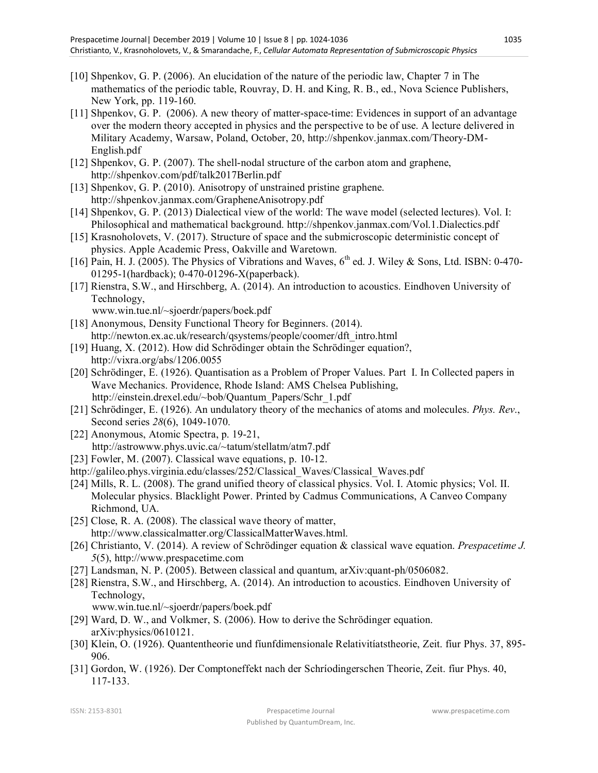- [10] Shpenkov, G. P. (2006). An elucidation of the nature of the periodic law, Chapter 7 in The mathematics of the periodic table, Rouvray, D. H. and King, R. B., ed., Nova Science Publishers, New York, pp. 119-160.
- [11] Shpenkov, G. P. (2006). A new theory of matter-space-time: Evidences in support of an advantage over the modern theory accepted in physics and the perspective to be of use. A lecture delivered in Military Academy, Warsaw, Poland, October, 20, http://shpenkov.janmax.com/Theory-DM-English.pdf
- [12] Shpenkov, G. P. (2007). The shell-nodal structure of the carbon atom and graphene, http://shpenkov.com/pdf/talk2017Berlin.pdf
- [13] Shpenkov, G. P. (2010). Anisotropy of unstrained pristine graphene. http://shpenkov.janmax.com/GrapheneAnisotropy.pdf
- [14] Shpenkov, G. P. (2013) Dialectical view of the world: The wave model (selected lectures). Vol. I: Philosophical and mathematical background. http://shpenkov.janmax.com/Vol.1.Dialectics.pdf
- [15] Krasnoholovets, V. (2017). Structure of space and the submicroscopic deterministic concept of physics. Apple Academic Press, Oakville and Waretown.
- [16] Pain, H. J. (2005). The Physics of Vibrations and Waves,  $6<sup>th</sup>$  ed. J. Wiley & Sons, Ltd. ISBN: 0-470-01295-1(hardback); 0-470-01296-X(paperback).
- [17] Rienstra, S.W., and Hirschberg, A. (2014). An introduction to acoustics. Eindhoven University of Technology, www.win.tue.nl/~sjoerdr/papers/boek.pdf
- [18] Anonymous, Density Functional Theory for Beginners. (2014). http://newton.ex.ac.uk/research/qsystems/people/coomer/dft\_intro.html
- [19] Huang, X. (2012). How did Schrödinger obtain the Schrödinger equation?, http://vixra.org/abs/1206.0055
- [20] Schrödinger, E. (1926). Quantisation as a Problem of Proper Values. Part I. In Collected papers in Wave Mechanics. Providence, Rhode Island: AMS Chelsea Publishing, http://einstein.drexel.edu/~bob/Quantum\_Papers/Schr\_1.pdf
- [21] Schrödinger, E. (1926). An undulatory theory of the mechanics of atoms and molecules. *Phys. Rev*., Second series *28*(6), 1049-1070.
- [22] Anonymous, Atomic Spectra, p. 19-21, http://astrowww.phys.uvic.ca/~tatum/stellatm/atm7.pdf
- [23] Fowler, M. (2007). Classical wave equations, p. 10-12.
- http://galileo.phys.virginia.edu/classes/252/Classical\_Waves/Classical\_Waves.pdf
- [24] Mills, R. L. (2008). The grand unified theory of classical physics. Vol. I. Atomic physics; Vol. II. Molecular physics. Blacklight Power. Printed by Cadmus Communications, A Canveo Company Richmond, UA.
- [25] Close, R. A. (2008). The classical wave theory of matter, http://www.classicalmatter.org/ClassicalMatterWaves.html.
- [26] Christianto, V. (2014). A review of Schrödinger equation & classical wave equation. *Prespacetime J. 5*(5), http://www.prespacetime.com
- [27] Landsman, N. P. (2005). Between classical and quantum, arXiv:quant-ph/0506082.
- [28] Rienstra, S.W., and Hirschberg, A. (2014). An introduction to acoustics. Eindhoven University of Technology, www.win.tue.nl/~sjoerdr/papers/boek.pdf
- [29] Ward, D. W., and Volkmer, S. (2006). How to derive the Schrödinger equation. arXiv:physics/0610121.
- [30] Klein, O. (1926). Quantentheorie und fíunfdimensionale Relativitíatstheorie, Zeit. fíur Phys. 37, 895- 906.
- [31] Gordon, W. (1926). Der Comptoneffekt nach der Schríodingerschen Theorie, Zeit. fíur Phys. 40, 117-133.